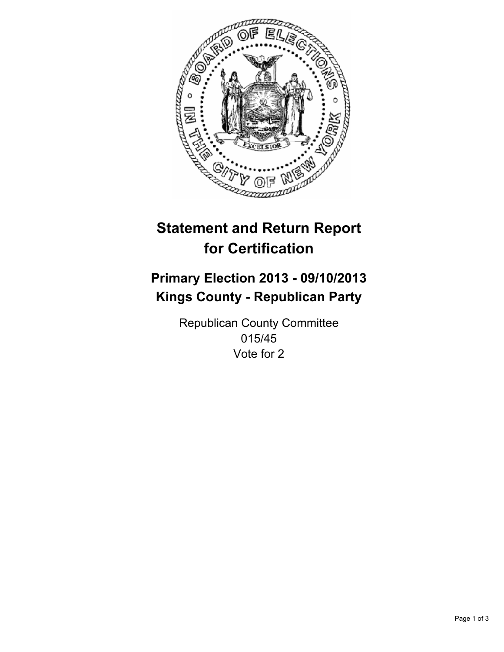

# **Statement and Return Report for Certification**

## **Primary Election 2013 - 09/10/2013 Kings County - Republican Party**

Republican County Committee 015/45 Vote for 2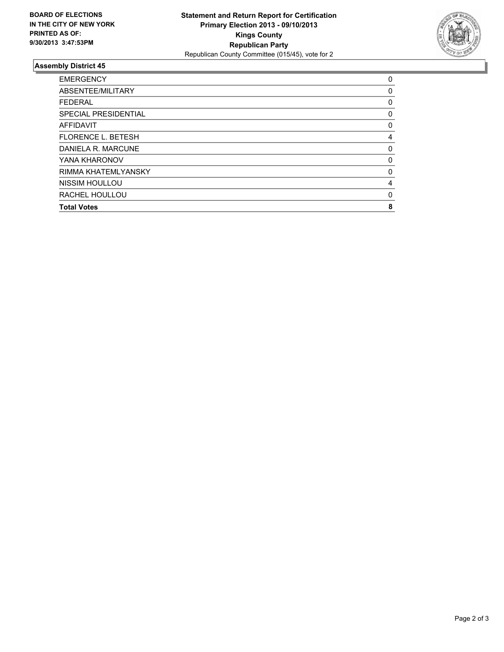

### **Assembly District 45**

| 0           |
|-------------|
| 0           |
| 0           |
| 0           |
| 0           |
| 4           |
| 0           |
| 0           |
| $\mathbf 0$ |
| 4           |
| $\mathbf 0$ |
| 8           |
|             |